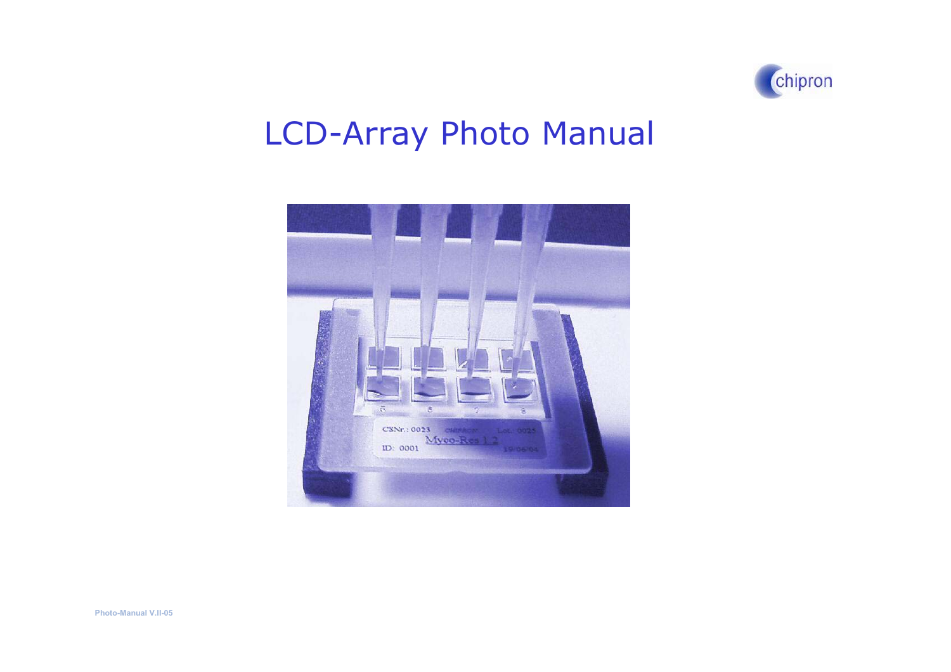

# LCD-Array Photo Manual

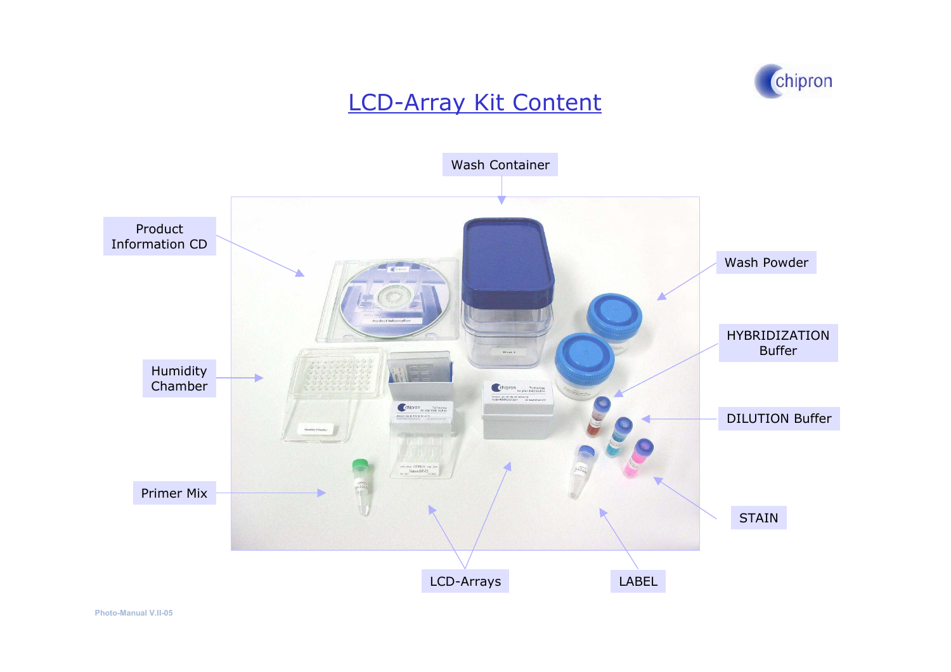

#### LCD-Array Kit Content

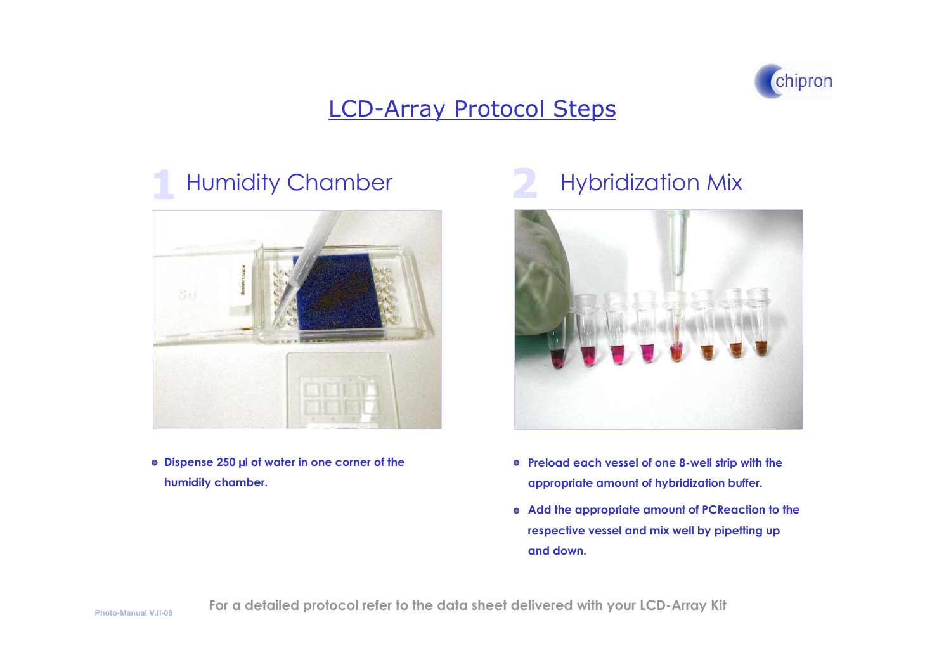

### Humidity Chamber



**Dispe nse 250 µl of w ater i n o ne corner of the humidity chamber.**

#### **2**2 Hybridization Mix



- **Preload e ach vessel of one 8-well strip with the appropriate amount of h ybridization buffer.**
- **Add the appropriate amount of PCReaction to th e respective vessel and mix well b y pipetting up and down.**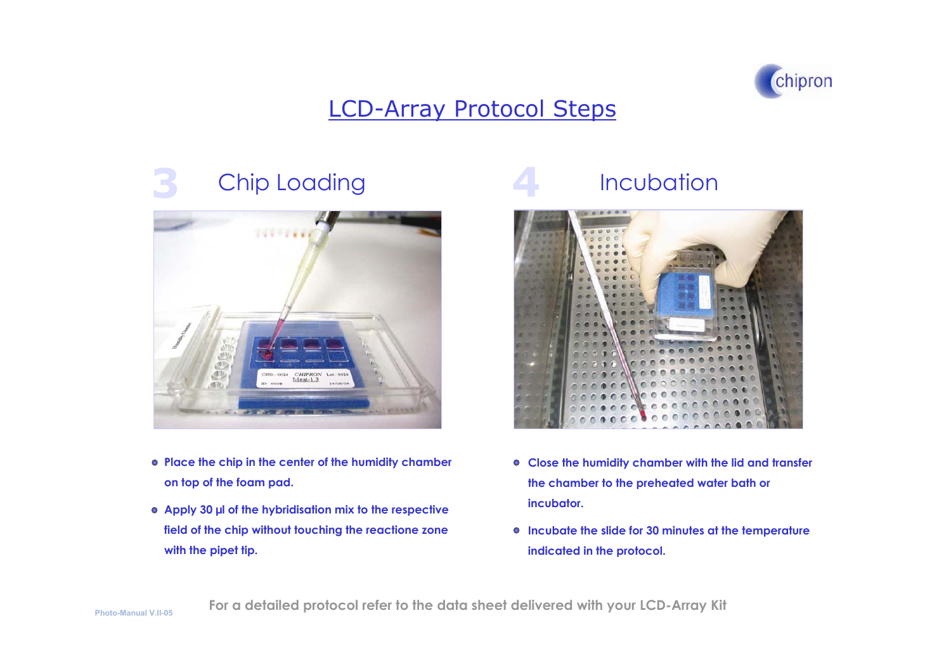

#### **3**Chip Loading



- **Place the c hip i n the center of the humidity c hamber on top of the foam pad.**
- Apply 30  $\mu$ l of the hybridisation mix to the respective **field of the chi p witho ut touching the reacti one zone with the pip et tip.**

## **Incubation**



- **Close the humidity cha mber with the lid and transfer the chamber to the preheated water bath or incubator.**
- **Incubate the sli de for 30 minutes at the temp eratureindi c ated i n the protocol.**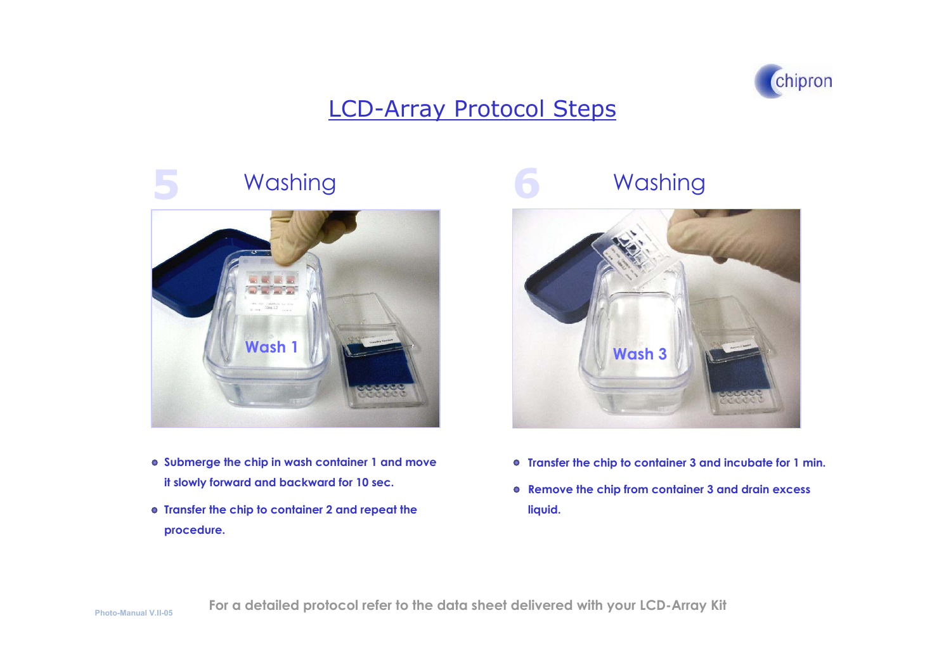

### Washing



- **Submerge th e chip in wash container 1 and m ove it slowly forward and backward for 10 sec.**
- **Transfer the chip to container 2 and repeat th e procedure.**

## Washing



- **Transfer the chip to cont ainer 3 and i ncubate for 1 min.**
- **Remove the chip from container 3 and drain excess liquid.**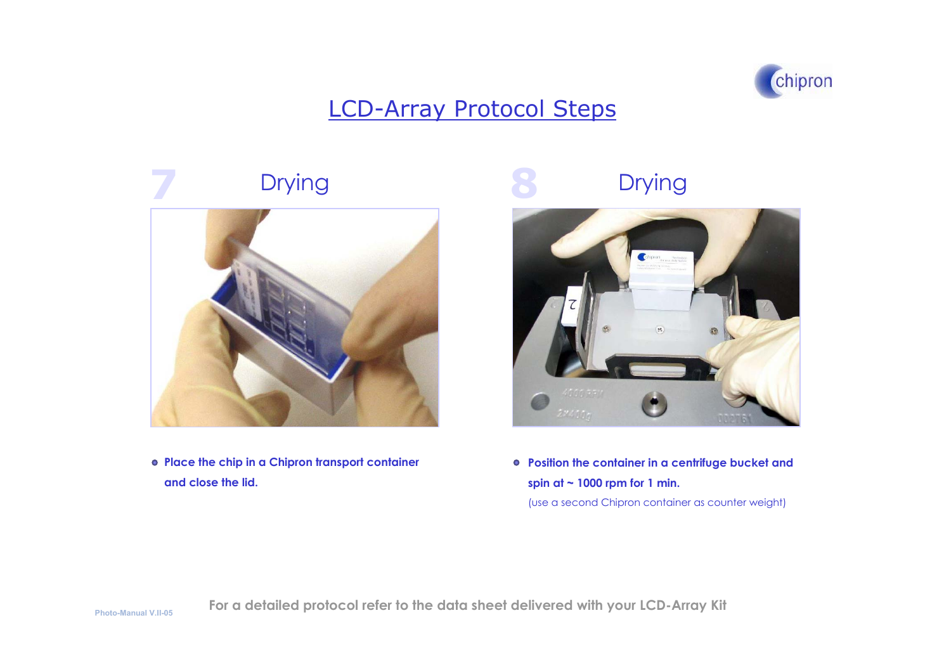

# Drying



**Plac e th e chip in a Chipron transport container and close the lid.**

## Drying



**Position th e container in a c entrifuge bucket and spin at ~ 1000 rpm for 1 min.**

(use a s econ d Chipron c ontainer as counter w eight)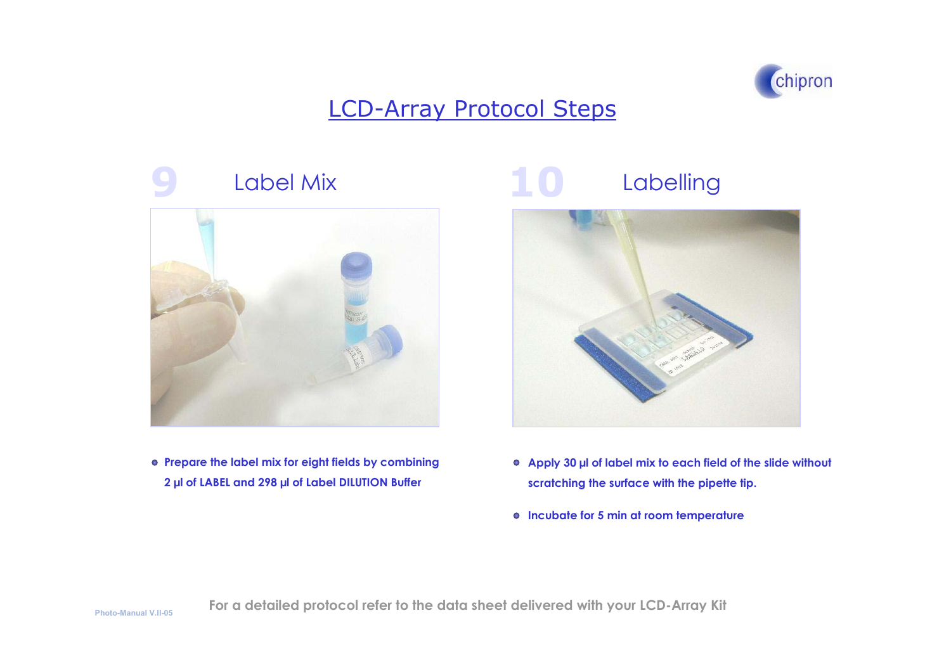

## **9 1** Label Mix



**Prepare the label mix for eight fields b y combining 2 µl of LABEL and 298 µl of Label DIL UTIO N Buffer**

#### **0**Labelling



- **Apply 3 0 µl of label mix to e a c h field of the slide witho ut scratching t he surface with the pip ette tip.**
- **Incubate for 5 min at room temperature**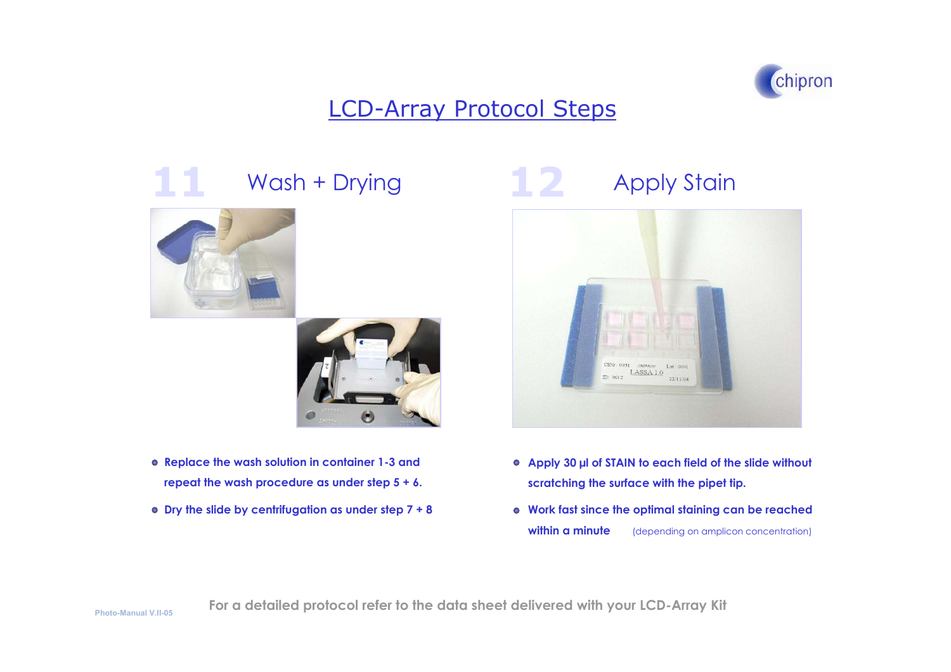

# **11**





- **Replace the w ash sol ution i n container 1-3 andrepeat the wash procedure as under step 5 + 6.**
- **Dry the slide by centrifugati on as under step 7 + 8**

## Wash + Drying **12** Apply Stain



- Apply 30 µl of STAIN to each field of the slide without **scratching the surface with the pipet tip.**
- **Work fast since the optimal staining can be reached within a minute** (depending on amplicon concentration)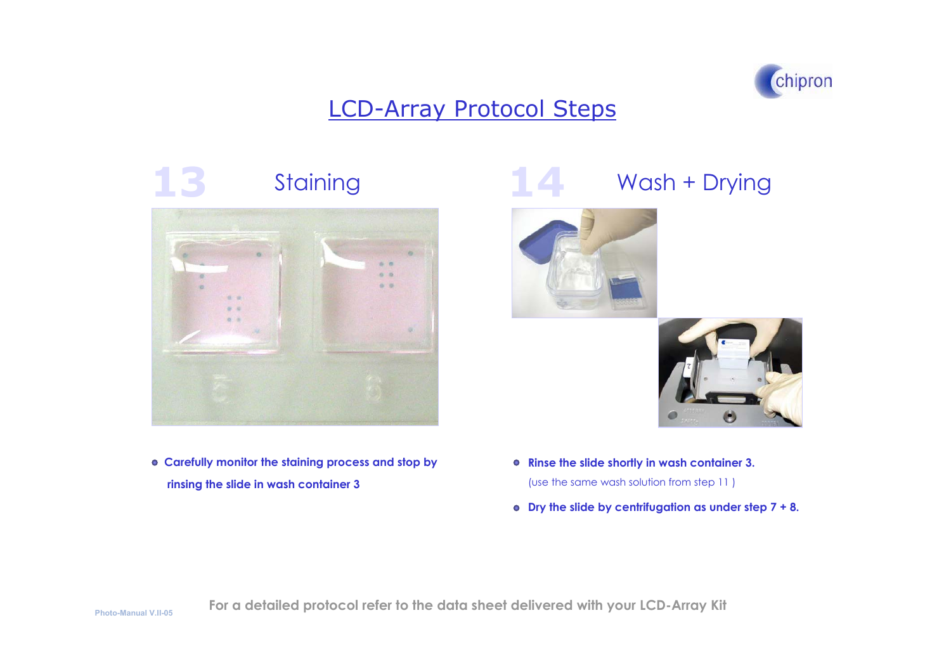

# **13**



**Carefully monit or the staining process and stop b y rinsing the slide in wash container 3**

## Staining **14** Wash + Drying





**Rinse the slide shortly in w ash container 3.**

(use th e same w ash s olution from ste p 11 )

**Dry the slide by centrifugati o n as under ste p 7 + 8.**